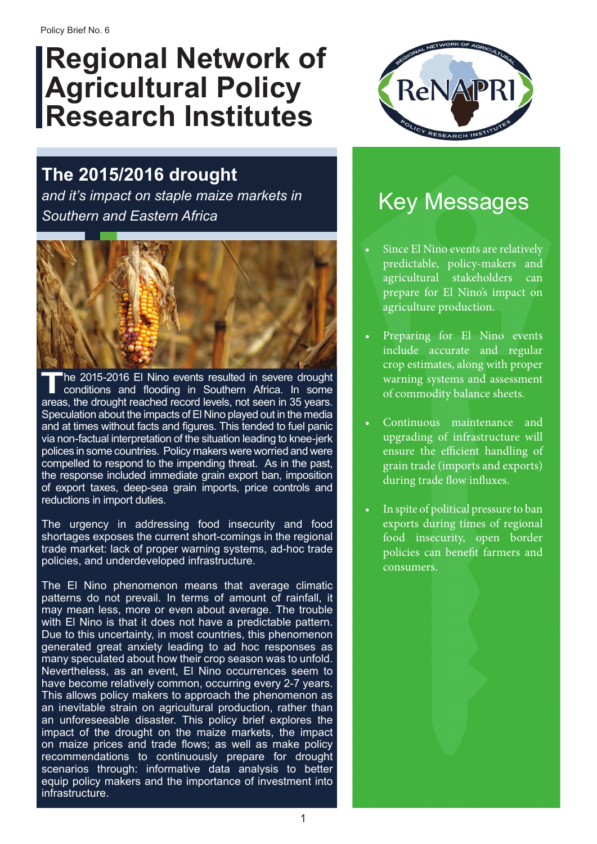# **Regional Network of Agricultural Policy Research Institutes**



### **The 2015/2016 drought**

*and it's impact on staple maize markets in Southern and Eastern Africa*



The 2015-2016 El Nino events resulted in severe drought<br>conditions and flooding in Southern Africa. In some<br>areas the drought reached record levels not seen in 35 years areas, the drought reached record levels, not seen in 35 years. Speculation about the impacts of El Nino played out in the media and at times without facts and figures. This tended to fuel panic via non-factual interpretation of the situation leading to knee-jerk polices in some countries. Policy makers were worried and were compelled to respond to the impending threat. As in the past, the response included immediate grain export ban, imposition of export taxes, deep-sea grain imports, price controls and reductions in import duties.

The urgency in addressing food insecurity and food shortages exposes the current short-comings in the regional trade market: lack of proper warning systems, ad-hoc trade policies, and underdeveloped infrastructure.

The El Nino phenomenon means that average climatic patterns do not prevail. In terms of amount of rainfall, it may mean less, more or even about average. The trouble with El Nino is that it does not have a predictable pattern. Due to this uncertainty, in most countries, this phenomenon generated great anxiety leading to ad hoc responses as many speculated about how their crop season was to unfold. Nevertheless, as an event, El Nino occurrences seem to have become relatively common, occurring every 2-7 years. This allows policy makers to approach the phenomenon as an inevitable strain on agricultural production, rather than an unforeseeable disaster. This policy brief explores the impact of the drought on the maize markets, the impact on maize prices and trade flows; as well as make policy recommendations to continuously prepare for drought scenarios through: informative data analysis to better equip policy makers and the importance of investment into infrastructure.

## Key Messages

- Since El Nino events are relatively predictable, policy-makers and agricultural stakeholders can prepare for El Nino's impact on agriculture production.
- Preparing for El Nino events include accurate and regular crop estimates, along with proper warning systems and assessment of commodity balance sheets.
- Continuous maintenance and upgrading of infrastructure will ensure the efficient handling of grain trade (imports and exports) during trade flow influxes.
- In spite of political pressure to ban exports during times of regional food insecurity, open border policies can benefit farmers and consumers.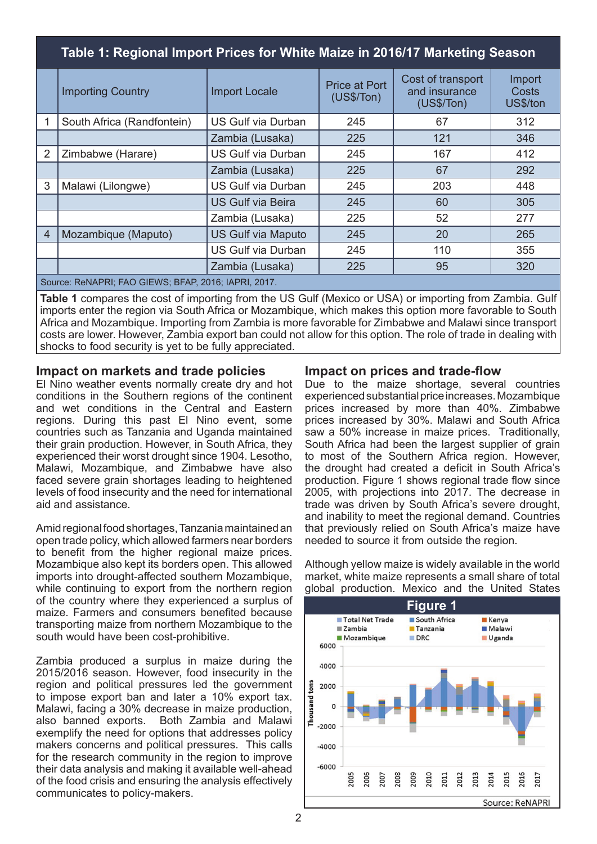|                                                      | Table 1: Regional Import Prices for White Maize in 2016/17 Marketing Season |                           |                                     |                                                   |                             |  |
|------------------------------------------------------|-----------------------------------------------------------------------------|---------------------------|-------------------------------------|---------------------------------------------------|-----------------------------|--|
|                                                      | <b>Importing Country</b>                                                    | <b>Import Locale</b>      | <b>Price at Port</b><br>(US\$/ Ton) | Cost of transport<br>and insurance<br>(US\$/ Ton) | Import<br>Costs<br>US\$/ton |  |
|                                                      | South Africa (Randfontein)                                                  | US Gulf via Durban        | 245                                 | 67                                                | 312                         |  |
|                                                      |                                                                             | Zambia (Lusaka)           | 225                                 | 121                                               | 346                         |  |
| 2                                                    | Zimbabwe (Harare)                                                           | <b>US Gulf via Durban</b> | 245                                 | 167                                               | 412                         |  |
|                                                      |                                                                             | Zambia (Lusaka)           | 225                                 | 67                                                | 292                         |  |
| 3                                                    | Malawi (Lilongwe)                                                           | <b>US Gulf via Durban</b> | 245                                 | 203                                               | 448                         |  |
|                                                      |                                                                             | <b>US Gulf via Beira</b>  | 245                                 | 60                                                | 305                         |  |
|                                                      |                                                                             | Zambia (Lusaka)           | 225                                 | 52                                                | 277                         |  |
| $\overline{4}$                                       | Mozambique (Maputo)                                                         | <b>US Gulf via Maputo</b> | 245                                 | 20                                                | 265                         |  |
|                                                      |                                                                             | <b>US Gulf via Durban</b> | 245                                 | 110                                               | 355                         |  |
|                                                      |                                                                             | Zambia (Lusaka)           | 225                                 | 95                                                | 320                         |  |
| Source: ReNAPRI; FAO GIEWS; BFAP, 2016; IAPRI, 2017. |                                                                             |                           |                                     |                                                   |                             |  |

**Table 1** compares the cost of importing from the US Gulf (Mexico or USA) or importing from Zambia. Gulf imports enter the region via South Africa or Mozambique, which makes this option more favorable to South Africa and Mozambique. Importing from Zambia is more favorable for Zimbabwe and Malawi since transport costs are lower. However, Zambia export ban could not allow for this option. The role of trade in dealing with shocks to food security is yet to be fully appreciated.

### **Impact on markets and trade policies**

El Nino weather events normally create dry and hot conditions in the Southern regions of the continent and wet conditions in the Central and Eastern regions. During this past El Nino event, some countries such as Tanzania and Uganda maintained their grain production. However, in South Africa, they experienced their worst drought since 1904. Lesotho, Malawi, Mozambique, and Zimbabwe have also faced severe grain shortages leading to heightened levels of food insecurity and the need for international aid and assistance.

Amid regional food shortages, Tanzania maintained an open trade policy, which allowed farmers near borders to benefit from the higher regional maize prices. Mozambique also kept its borders open. This allowed imports into drought-affected southern Mozambique, while continuing to export from the northern region of the country where they experienced a surplus of maize. Farmers and consumers benefited because transporting maize from northern Mozambique to the south would have been cost-prohibitive.

Zambia produced a surplus in maize during the 2015/2016 season. However, food insecurity in the region and political pressures led the government to impose export ban and later a 10% export tax. Malawi, facing a 30% decrease in maize production, also banned exports. Both Zambia and Malawi exemplify the need for options that addresses policy makers concerns and political pressures. This calls for the research community in the region to improve their data analysis and making it available well-ahead of the food crisis and ensuring the analysis effectively communicates to policy-makers.

### **Impact on prices and trade-flow**

Due to the maize shortage, several countries experienced substantial price increases. Mozambique prices increased by more than 40%. Zimbabwe prices increased by 30%. Malawi and South Africa saw a 50% increase in maize prices. Traditionally, South Africa had been the largest supplier of grain to most of the Southern Africa region. However, the drought had created a deficit in South Africa's production. Figure 1 shows regional trade flow since 2005, with projections into 2017. The decrease in trade was driven by South Africa's severe drought, and inability to meet the regional demand. Countries that previously relied on South Africa's maize have needed to source it from outside the region.

Although yellow maize is widely available in the world market, white maize represents a small share of total global production. Mexico and the United States

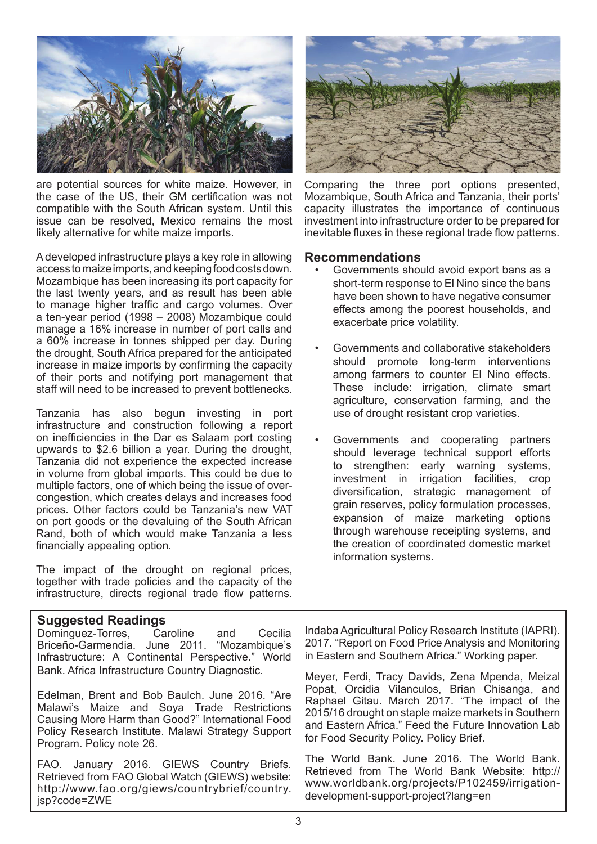

are potential sources for white maize. However, in the case of the US, their GM certification was not compatible with the South African system. Until this issue can be resolved, Mexico remains the most likely alternative for white maize imports.

A developed infrastructure plays a key role in allowing access to maize imports, and keeping food costs down. Mozambique has been increasing its port capacity for the last twenty years, and as result has been able to manage higher traffic and cargo volumes. Over a ten-year period (1998 – 2008) Mozambique could manage a 16% increase in number of port calls and a 60% increase in tonnes shipped per day. During the drought, South Africa prepared for the anticipated increase in maize imports by confirming the capacity of their ports and notifying port management that staff will need to be increased to prevent bottlenecks.

Tanzania has also begun investing in port infrastructure and construction following a report on inefficiencies in the Dar es Salaam port costing upwards to \$2.6 billion a year. During the drought, Tanzania did not experience the expected increase in volume from global imports. This could be due to multiple factors, one of which being the issue of overcongestion, which creates delays and increases food prices. Other factors could be Tanzania's new VAT on port goods or the devaluing of the South African Rand, both of which would make Tanzania a less financially appealing option.

The impact of the drought on regional prices, together with trade policies and the capacity of the infrastructure, directs regional trade flow patterns.

### **Suggested Readings**

Dominguez-Torres, Caroline and Cecilia Briceño-Garmendia. June 2011. "Mozambique's Infrastructure: A Continental Perspective." World Bank. Africa Infrastructure Country Diagnostic.

Edelman, Brent and Bob Baulch. June 2016. "Are Malawi's Maize and Soya Trade Restrictions Causing More Harm than Good?" International Food Policy Research Institute. Malawi Strategy Support Program. Policy note 26.

FAO. January 2016. GIEWS Country Briefs. Retrieved from FAO Global Watch (GIEWS) website: http://www.fao.org/giews/countrybrief/country. jsp?code=ZWE



Comparing the three port options presented, Mozambique, South Africa and Tanzania, their ports' capacity illustrates the importance of continuous investment into infrastructure order to be prepared for inevitable fluxes in these regional trade flow patterns.

#### **Recommendations**

- Governments should avoid export bans as a short-term response to El Nino since the bans have been shown to have negative consumer effects among the poorest households, and exacerbate price volatility.
- Governments and collaborative stakeholders should promote long-term interventions among farmers to counter El Nino effects. These include: irrigation, climate smart agriculture, conservation farming, and the use of drought resistant crop varieties.
- Governments and cooperating partners should leverage technical support efforts to strengthen: early warning systems, investment in irrigation facilities, crop diversification, strategic management of grain reserves, policy formulation processes, expansion of maize marketing options through warehouse receipting systems, and the creation of coordinated domestic market information systems.

Indaba Agricultural Policy Research Institute (IAPRI). 2017. "Report on Food Price Analysis and Monitoring in Eastern and Southern Africa." Working paper.

Meyer, Ferdi, Tracy Davids, Zena Mpenda, Meizal Popat, Orcidia Vilanculos, Brian Chisanga, and Raphael Gitau. March 2017. "The impact of the 2015/16 drought on staple maize markets in Southern and Eastern Africa." Feed the Future Innovation Lab for Food Security Policy. Policy Brief.

The World Bank. June 2016. The World Bank. Retrieved from The World Bank Website: http:// www.worldbank.org/projects/P102459/irrigationdevelopment-support-project?lang=en